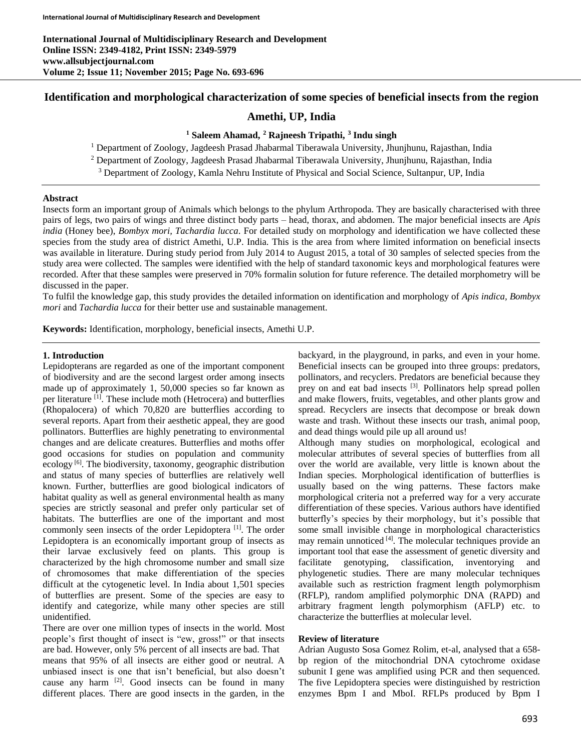# **Identification and morphological characterization of some species of beneficial insects from the region**

# **Amethi, UP, India**

# **<sup>1</sup> Saleem Ahamad, <sup>2</sup> Rajneesh Tripathi, 3 Indu singh**

<sup>1</sup> Department of Zoology, Jagdeesh Prasad Jhabarmal Tiberawala University, Jhunjhunu, Rajasthan, India

<sup>2</sup> Department of Zoology, Jagdeesh Prasad Jhabarmal Tiberawala University, Jhunjhunu, Rajasthan, India

<sup>3</sup> Department of Zoology, Kamla Nehru Institute of Physical and Social Science, Sultanpur, UP, India

# **Abstract**

Insects form an important group of Animals which belongs to the phylum Arthropoda. They are basically characterised with three pairs of legs, two pairs of wings and three distinct body parts – head, thorax, and abdomen. The major beneficial insects are *Apis india* (Honey bee), *Bombyx mori, Tachardia lucca*. For detailed study on morphology and identification we have collected these species from the study area of district Amethi, U.P. India. This is the area from where limited information on beneficial insects was available in literature. During study period from July 2014 to August 2015, a total of 30 samples of selected species from the study area were collected. The samples were identified with the help of standard taxonomic keys and morphological features were recorded. After that these samples were preserved in 70% formalin solution for future reference. The detailed morphometry will be discussed in the paper.

To fulfil the knowledge gap, this study provides the detailed information on identification and morphology of *Apis indica, Bombyx mori* and *Tachardia lucca* for their better use and sustainable management.

**Keywords:** Identification, morphology, beneficial insects, Amethi U.P.

# **1. Introduction**

Lepidopterans are regarded as one of the important component of biodiversity and are the second largest order among insects made up of approximately 1, 50,000 species so far known as per literature <sup>[1]</sup>. These include moth (Hetrocera) and butterflies (Rhopalocera) of which 70,820 are butterflies according to several reports. Apart from their aesthetic appeal, they are good pollinators. Butterflies are highly penetrating to environmental changes and are delicate creatures. Butterflies and moths offer good occasions for studies on population and community ecology<sup>[6]</sup>. The biodiversity, taxonomy, geographic distribution and status of many species of butterflies are relatively well known. Further, butterflies are good biological indicators of habitat quality as well as general environmental health as many species are strictly seasonal and prefer only particular set of habitats. The butterflies are one of the important and most commonly seen insects of the order Lepidoptera<sup>[1]</sup>. The order Lepidoptera is an economically important group of insects as their larvae exclusively feed on plants. This group is characterized by the high chromosome number and small size of chromosomes that make differentiation of the species difficult at the cytogenetic level. In India about 1,501 species of butterflies are present. Some of the species are easy to identify and categorize, while many other species are still unidentified.

There are over one million types of insects in the world. Most people's first thought of insect is "ew, gross!" or that insects are bad. However, only 5% percent of all insects are bad. That means that 95% of all insects are either good or neutral. A unbiased insect is one that isn't beneficial, but also doesn't cause any harm [2]. Good insects can be found in many different places. There are good insects in the garden, in the backyard, in the playground, in parks, and even in your home. Beneficial insects can be grouped into three groups: predators, pollinators, and recyclers. Predators are beneficial because they prey on and eat bad insects <sup>[3]</sup>. Pollinators help spread pollen and make flowers, fruits, vegetables, and other plants grow and spread. Recyclers are insects that decompose or break down waste and trash. Without these insects our trash, animal poop, and dead things would pile up all around us!

Although many studies on morphological, ecological and molecular attributes of several species of butterflies from all over the world are available, very little is known about the Indian species. Morphological identification of butterflies is usually based on the wing patterns. These factors make morphological criteria not a preferred way for a very accurate differentiation of these species. Various authors have identified butterfly's species by their morphology, but it's possible that some small invisible change in morphological characteristics may remain unnoticed [4]. The molecular techniques provide an important tool that ease the assessment of genetic diversity and facilitate genotyping, classification, inventorying and phylogenetic studies. There are many molecular techniques available such as restriction fragment length polymorphism (RFLP), random amplified polymorphic DNA (RAPD) and arbitrary fragment length polymorphism (AFLP) etc. to characterize the butterflies at molecular level.

# **Review of literature**

Adrian Augusto Sosa Gomez Rolim, et-al, analysed that a 658 bp region of the mitochondrial DNA cytochrome oxidase subunit I gene was amplified using PCR and then sequenced. The five Lepidoptera species were distinguished by restriction enzymes Bpm I and MboI. RFLPs produced by Bpm I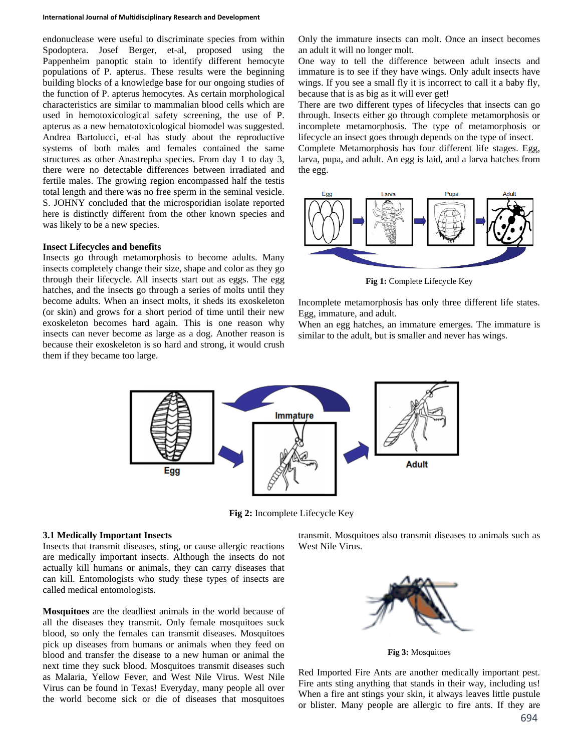#### **International Journal of Multidisciplinary Research and Development**

endonuclease were useful to discriminate species from within Spodoptera. Josef Berger, et-al, proposed using the Pappenheim panoptic stain to identify different hemocyte populations of P. apterus. These results were the beginning building blocks of a knowledge base for our ongoing studies of the function of P. apterus hemocytes. As certain morphological characteristics are similar to mammalian blood cells which are used in hemotoxicological safety screening, the use of P. apterus as a new hematotoxicological biomodel was suggested. Andrea Bartolucci, et-al has study about the reproductive systems of both males and females contained the same structures as other Anastrepha species. From day 1 to day 3, there were no detectable differences between irradiated and fertile males. The growing region encompassed half the testis total length and there was no free sperm in the seminal vesicle. S. JOHNY concluded that the microsporidian isolate reported here is distinctly different from the other known species and was likely to be a new species.

#### **Insect Lifecycles and benefits**

Insects go through metamorphosis to become adults. Many insects completely change their size, shape and color as they go through their lifecycle. All insects start out as eggs. The egg hatches, and the insects go through a series of molts until they become adults. When an insect molts, it sheds its exoskeleton (or skin) and grows for a short period of time until their new exoskeleton becomes hard again. This is one reason why insects can never become as large as a dog. Another reason is because their exoskeleton is so hard and strong, it would crush them if they became too large.

Only the immature insects can molt. Once an insect becomes an adult it will no longer molt.

One way to tell the difference between adult insects and immature is to see if they have wings. Only adult insects have wings. If you see a small fly it is incorrect to call it a baby fly, because that is as big as it will ever get!

There are two different types of lifecycles that insects can go through. Insects either go through complete metamorphosis or incomplete metamorphosis. The type of metamorphosis or lifecycle an insect goes through depends on the type of insect. Complete Metamorphosis has four different life stages. Egg,

larva, pupa, and adult. An egg is laid, and a larva hatches from the egg.



**Fig 1:** Complete Lifecycle Key

Incomplete metamorphosis has only three different life states. Egg, immature, and adult.

When an egg hatches, an immature emerges. The immature is similar to the adult, but is smaller and never has wings.



**Fig 2:** Incomplete Lifecycle Key

#### **3.1 Medically Important Insects**

Insects that transmit diseases, sting, or cause allergic reactions are medically important insects. Although the insects do not actually kill humans or animals, they can carry diseases that can kill. Entomologists who study these types of insects are called medical entomologists.

**Mosquitoes** are the deadliest animals in the world because of all the diseases they transmit. Only female mosquitoes suck blood, so only the females can transmit diseases. Mosquitoes pick up diseases from humans or animals when they feed on blood and transfer the disease to a new human or animal the next time they suck blood. Mosquitoes transmit diseases such as Malaria, Yellow Fever, and West Nile Virus. West Nile Virus can be found in Texas! Everyday, many people all over the world become sick or die of diseases that mosquitoes

transmit. Mosquitoes also transmit diseases to animals such as West Nile Virus.



**Fig 3:** Mosquitoes

Red Imported Fire Ants are another medically important pest. Fire ants sting anything that stands in their way, including us! When a fire ant stings your skin, it always leaves little pustule or blister. Many people are allergic to fire ants. If they are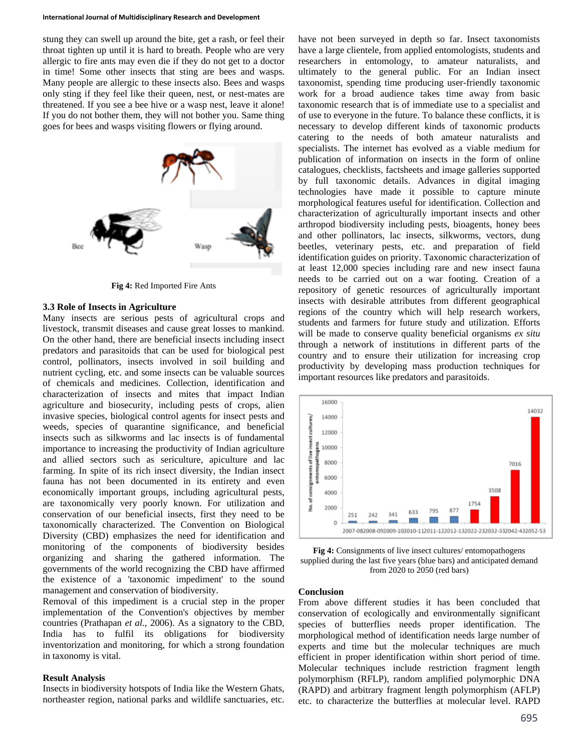#### **International Journal of Multidisciplinary Research and Development**

stung they can swell up around the bite, get a rash, or feel their throat tighten up until it is hard to breath. People who are very allergic to fire ants may even die if they do not get to a doctor in time! Some other insects that sting are bees and wasps. Many people are allergic to these insects also. Bees and wasps only sting if they feel like their queen, nest, or nest-mates are threatened. If you see a bee hive or a wasp nest, leave it alone! If you do not bother them, they will not bother you. Same thing goes for bees and wasps visiting flowers or flying around.



**Fig 4:** Red Imported Fire Ants

#### **3.3 Role of Insects in Agriculture**

Many insects are serious pests of agricultural crops and livestock, transmit diseases and cause great losses to mankind. On the other hand, there are beneficial insects including insect predators and parasitoids that can be used for biological pest control, pollinators, insects involved in soil building and nutrient cycling, etc. and some insects can be valuable sources of chemicals and medicines. Collection, identification and characterization of insects and mites that impact Indian agriculture and biosecurity, including pests of crops, alien invasive species, biological control agents for insect pests and weeds, species of quarantine significance, and beneficial insects such as silkworms and lac insects is of fundamental importance to increasing the productivity of Indian agriculture and allied sectors such as sericulture, apiculture and lac farming. In spite of its rich insect diversity, the Indian insect fauna has not been documented in its entirety and even economically important groups, including agricultural pests, are taxonomically very poorly known. For utilization and conservation of our beneficial insects, first they need to be taxonomically characterized. The Convention on Biological Diversity (CBD) emphasizes the need for identification and monitoring of the components of biodiversity besides organizing and sharing the gathered information. The governments of the world recognizing the CBD have affirmed the existence of a 'taxonomic impediment' to the sound management and conservation of biodiversity.

Removal of this impediment is a crucial step in the proper implementation of the Convention's objectives by member countries (Prathapan *et al*., 2006). As a signatory to the CBD, India has to fulfil its obligations for biodiversity inventorization and monitoring, for which a strong foundation in taxonomy is vital.

#### **Result Analysis**

Insects in biodiversity hotspots of India like the Western Ghats, northeaster region, national parks and wildlife sanctuaries, etc. have not been surveyed in depth so far. Insect taxonomists have a large clientele, from applied entomologists, students and researchers in entomology, to amateur naturalists, and ultimately to the general public. For an Indian insect taxonomist, spending time producing user-friendly taxonomic work for a broad audience takes time away from basic taxonomic research that is of immediate use to a specialist and of use to everyone in the future. To balance these conflicts, it is necessary to develop different kinds of taxonomic products catering to the needs of both amateur naturalists and specialists. The internet has evolved as a viable medium for publication of information on insects in the form of online catalogues, checklists, factsheets and image galleries supported by full taxonomic details. Advances in digital imaging technologies have made it possible to capture minute morphological features useful for identification. Collection and characterization of agriculturally important insects and other arthropod biodiversity including pests, bioagents, honey bees and other pollinators, lac insects, silkworms, vectors, dung beetles, veterinary pests, etc. and preparation of field identification guides on priority. Taxonomic characterization of at least 12,000 species including rare and new insect fauna needs to be carried out on a war footing. Creation of a repository of genetic resources of agriculturally important insects with desirable attributes from different geographical regions of the country which will help research workers, students and farmers for future study and utilization. Efforts will be made to conserve quality beneficial organisms *ex situ* through a network of institutions in different parts of the country and to ensure their utilization for increasing crop productivity by developing mass production techniques for important resources like predators and parasitoids.



**Fig 4:** Consignments of live insect cultures/ entomopathogens supplied during the last five years (blue bars) and anticipated demand from 2020 to 2050 (red bars)

### **Conclusion**

From above different studies it has been concluded that conservation of ecologically and environmentally significant species of butterflies needs proper identification. The morphological method of identification needs large number of experts and time but the molecular techniques are much efficient in proper identification within short period of time. Molecular techniques include restriction fragment length polymorphism (RFLP), random amplified polymorphic DNA (RAPD) and arbitrary fragment length polymorphism (AFLP) etc. to characterize the butterflies at molecular level. RAPD